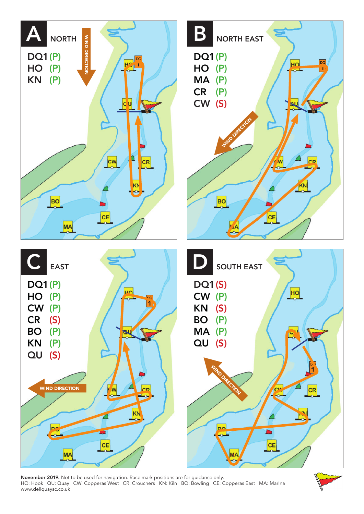

November 2019. Not to be used for navigation. Race mark positions are for guidance only. HO: Hook QU: Quay CW: Copperas West CR: Crouchers KN: Kiln BO: Bowling CE: Copperas East MA: Marina www.dellquaysc.co.uk